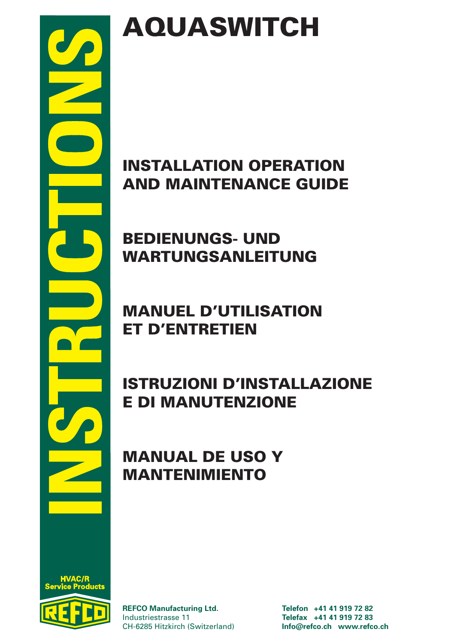

# AQUASWITCH

# INSTALLATION OPERATION AND MAINTENANCE GUIDE

# BEDIENUNGS- UND WARTUNGSANLEITUNG

# MANUEL D'UTILISATION ET D'ENTRETIEN

# ISTRUZIONI D'INSTALLAZIONE E DI MANUTENZIONE

### MANUAL DE USO Y MANTENIMIENTO

**REFCO Manufacturing Ltd. Telefon +41 41 919 72 82** Industriestrasse 11 **Telefax +41 41 919 72 83** CH-6285 Hitzkirch (Switzerland) **Info@refco.ch www.refco.ch**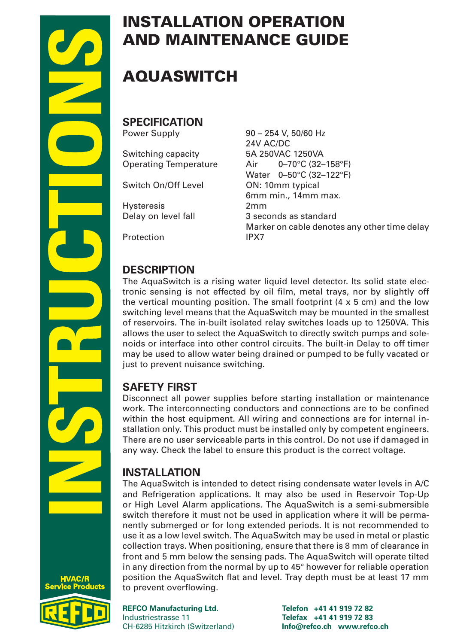



# AQUASWITCH

**SPECIFICATION**

Operating Temperature

Switch On/Off Level 0N: 10mm typical

Delay on level fall

Protection IPX7

Power Supply 90 – 254 V, 50/60 Hz 24V AC/DC<br>5A 250VAC 1250VA Switching capacity 5A 250VAC 1250VA<br>Operating Temperature 6 Air 6-70°C (32-158°F) Water 0–50°C (32–122°F) 6mm min., 14mm max. Hysteresis 2mm Marker on cable denotes any other time delay

### **DESCRIPTION**

The AquaSwitch is a rising water liquid level detector. Its solid state electronic sensing is not effected by oil film, metal trays, nor by slightly off the vertical mounting position. The small footprint  $(4 \times 5 \text{ cm})$  and the low switching level means that the AquaSwitch may be mounted in the smallest of reservoirs. The in-built isolated relay switches loads up to 1250VA. This allows the user to select the AquaSwitch to directly switch pumps and solenoids or interface into other control circuits. The built-in Delay to off timer may be used to allow water being drained or pumped to be fully vacated or just to prevent nuisance switching.

### **SAFETY FIRST**

Disconnect all power supplies before starting installation or maintenance work. The interconnecting conductors and connections are to be confined within the host equipment. All wiring and connections are for internal installation only. This product must be installed only by competent engineers. There are no user serviceable parts in this control. Do not use if damaged in any way. Check the label to ensure this product is the correct voltage.

### **INSTALLATION**

The AquaSwitch is intended to detect rising condensate water levels in A/C and Refrigeration applications. It may also be used in Reservoir Top-Up or High Level Alarm applications. The AquaSwitch is a semi-submersible switch therefore it must not be used in application where it will be permanently submerged or for long extended periods. It is not recommended to use it as a low level switch. The AquaSwitch may be used in metal or plastic collection trays. When positioning, ensure that there is 8 mm of clearance in front and 5 mm below the sensing pads. The AquaSwitch will operate tilted in any direction from the normal by up to 45° however for reliable operation position the AquaSwitch flat and level. Tray depth must be at least 17 mm to prevent overflowing.

**REFCO Manufacturing Ltd. Telefon +41 41 919 72 82** Industriestrasse 11 **Telefax +41 41 919 72 83** CH-6285 Hitzkirch (Switzerland) **Info@refco.ch www.refco.ch**